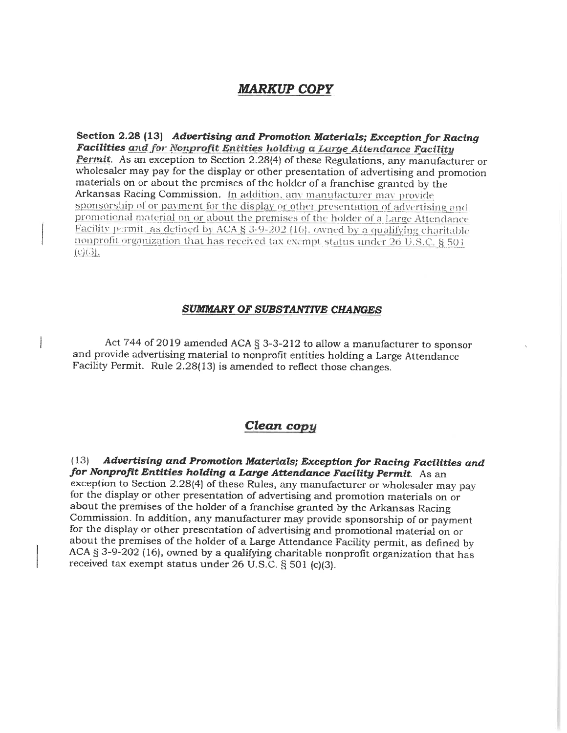## **MARKUP COPY**

Section 2.28 (13) Advertising and Promotion Materials; Exception for Racing Facilities and for Nonprofit Entities holding a Large Attendance Facility Permit. As an exception to Section 2.28(4) of these Regulations, any manufacturer or wholesaler may pay for the display or other presentation of advertising and promotion materials on or about the premises of the holder of a franchise granted by the Arkansas Racing Commission. In addition, any manufacturer may provide sponsorship of or payment for the display or other presentation of advertising and promotional material on or about the premises of the holder of a Large Attendance Facility permit, as defined by ACA § 3-9-202 (16), owned by a qualifying charitable nonprofit organization that has received tax exempt status under 26 U.S.C. § 501  $(c)(3)$ .

## **SUMMARY OF SUBSTANTIVE CHANGES**

Act 744 of 2019 amended ACA § 3-3-212 to allow a manufacturer to sponsor and provide advertising material to nonprofit entities holding a Large Attendance Facility Permit. Rule 2.28(13) is amended to reflect those changes.

## Clean copy

Advertising and Promotion Materials; Exception for Racing Facilities and  $(13)$ for Nonprofit Entities holding a Large Attendance Facility Permit. As an exception to Section 2.28(4) of these Rules, any manufacturer or wholesaler may pay for the display or other presentation of advertising and promotion materials on or about the premises of the holder of a franchise granted by the Arkansas Racing Commission. In addition, any manufacturer may provide sponsorship of or payment for the display or other presentation of advertising and promotional material on or about the premises of the holder of a Large Attendance Facility permit, as defined by ACA  $\S$  3-9-202 (16), owned by a qualifying charitable nonprofit organization that has received tax exempt status under 26 U.S.C. § 501 (c)(3).